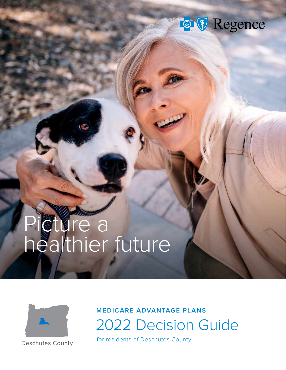

# Picture a healthier future



Deschutes County

# 2022 Decision Guide **MEDICARE ADVANTAGE PLANS**

for residents of Deschutes County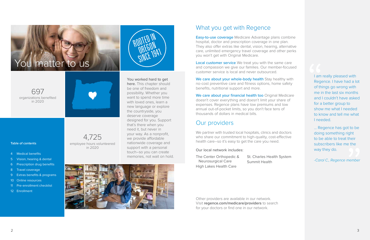## What you get with Regence

Easy-to-use coverage Medicare Advantage plans combine hospital, doctor and prescription coverage in one plan. They also offer extras like dental, vision, hearing, alternative care, unlimited emergency travel coverage and other perks you won't get with Original Medicare.

Local customer service We treat you with the same care and compassion we give our families. Our member-focused customer service is local and never outsourced.

We care about your whole-body health Stay healthy with no-cost preventive care and fitness options, home safety benefits, nutritional support and more.

We care about your financial health too Original Medicare doesn't cover everything and doesn't limit your share of expenses. Regence plans have low premiums and low annual out-of-pocket limits, so you don't face tens of thousands of dollars in medical bills.

We partner with trusted local hospitals, clinics and doctors who share our commitment to high-quality, cost-effective health care–so it's easy to get the care you need.

I am really pleased with Regence. I have had a lot of things go wrong with me in the last six months and I couldn't have asked for a better group to show me what I needed to know and tell me what I needed. I am I<br>
Rege<br>
of thi<br>
me ir<br>
and I<br>
for a

> ... Regence has got to be doing something right to be able to treat their subscribers like me the way they do. to be<br>ght<br>heir<br>the

## Our providers

Our local network includes:

Other providers are available in our network. Visit **[regence.com/medicare/providers](https://www.regence.com/medicare/providers?ecid=r_med_zz_br_po_zz_aep_gyg_zz_2021)** to search for your doctors or find one in our network.

-Carol C., Regence member

**Table of contents**

- 4 [Medical benefits](#page-2-0)
- 5 [Vision, hearing & dental](#page-2-0)
- [6 Prescription drug benefits](#page-3-0)

- 8 [Travel coverage](#page-4-0)
- 9 [Extras benefits & programs](#page-4-0)
- [10 Online resources](#page-5-0)
- [11 Pre-enrollment checklist](#page-5-0)
- [12 Enrollment](#page-6-0)

4,725 employee hours volunteered in 2020

> The Center Orthopedic & Neurosurgical Care High Lakes Health Care

St. Charles Health System Summit Health

697



in 2020





You worked hard to get here. This chapter should be one of freedom and possibility. Whether you want to spend more time with loved ones, learn a new language or explore the countryside, you deserve coverage designed for you. Support that's there when you need it, but never in your way. As a nonprofit, we provide affordable nationwide coverage and support with a personal touch–so you can create memories, not wait on hold.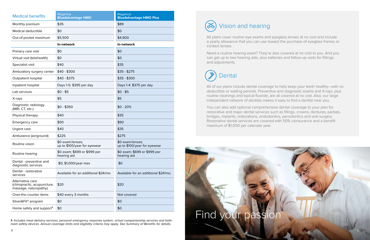All plans cover routine eye exams and eyeglass lenses at no cost and include a yearly allowance that you can use toward the purchase of eyeglass frames or contact lenses.

Need a routine hearing exam? They're also covered at no cost to you. And you can get up to two hearing aids, plus batteries and follow-up visits for fittings and adjustments.

All of our plans include dental coverage to help keep your teeth healthy—with no deductible or waiting periods. Preventive and diagnostic exams and X-rays, plus routine cleanings and topical fluoride, are all covered at no cost. Also, our large independent network of dentists makes it easy to find a dentist near you.

You can also add optional comprehensive dental coverage to your plan for restorative and major dental services such as fillings, crowns, dentures, partials, bridges, implants, restorations, endodontics, periodontics and oral surgery. Restorative dental services are covered with 50% coinsurance and a benefit maximum of \$1,000 per calendar year.







**1-** Includes meal delivery services, personal emergency response system, virtual companionship services and bathroom safety devices. Annual coverage limits and eligibility criteria may apply. See Summary of Benefits for details.

<span id="page-2-0"></span>

| <b>Medical benefits</b>                                                  | Regence<br><b>BlueAdvantage HMO</b>              | Regence<br><b>BlueAdvantage HMO Plus</b>         |  |
|--------------------------------------------------------------------------|--------------------------------------------------|--------------------------------------------------|--|
| Monthly premium                                                          | \$35                                             | \$89                                             |  |
| Medical deductible                                                       | \$0                                              | \$0                                              |  |
| Out-of-pocket maximum                                                    | \$5,500                                          | \$4,900                                          |  |
|                                                                          | In-network                                       | In-network                                       |  |
| Primary care visit                                                       | \$0                                              | \$0                                              |  |
| Virtual visit (telehealth)                                               | \$0                                              | \$0                                              |  |
| Specialist visit                                                         | \$40                                             | \$35                                             |  |
| Ambulatory surgery center                                                | $$40 - $300$                                     | $$35 - $275$                                     |  |
| Outpatient hospital                                                      | $$40 - $375$                                     | $$35 - $300$                                     |  |
| Inpatient hospital                                                       | Days 1-5: \$395 per day                          | Days 1-4: \$375 per day                          |  |
| Lab services                                                             | $$0 - $5$                                        | $$0 - $5$                                        |  |
| X-rays                                                                   | \$5                                              | \$5                                              |  |
| Diagnostic radiology<br>(MRI, CT, etc.)                                  | $$0 - $350$                                      | $$0 - 20\%$                                      |  |
| Physical therapy                                                         | \$40                                             | \$35                                             |  |
| Emergency care                                                           | \$90                                             | \$90                                             |  |
| Urgent care                                                              | \$40                                             | \$35                                             |  |
| Ambulance (air/ground)                                                   | \$225                                            | \$275                                            |  |
| Routine vision                                                           | \$0 exam/lenses;<br>up to \$100/year for eyewear | \$0 exam/lenses;<br>up to \$100/year for eyewear |  |
| Routine hearing                                                          | \$0 exam; \$699 or \$999 per<br>hearing aid      | \$0 exam; \$699 or \$999 per<br>hearing aid      |  |
| Dental - preventive and<br>diagnostic services                           | \$0; \$1,000/year max                            | \$0                                              |  |
| Dental - restorative<br>services                                         | Available for an additional \$24/mo.             | Available for an additional \$24/mo.             |  |
| Alternative care<br>(chiropractic, acupuncture,<br>massage, naturopathy) | \$20                                             | \$20                                             |  |
| Over-the-counter items                                                   | \$40 every 3 months                              | Not covered                                      |  |
| Silver&Fit <sup>®</sup> program                                          | \$0                                              | \$0                                              |  |
| Home safety and support <sup>1</sup>                                     | \$0                                              | \$0                                              |  |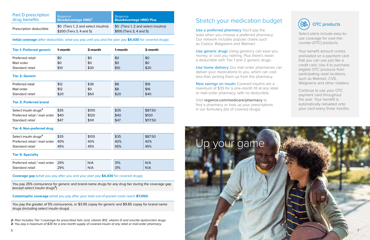## Stretch your medication budget

Use a preferred pharmacy You'll pay the least when you choose a preferred pharmacy. Our network includes popular chains such as Costco, Walgreens and Walmart.

Use generic drugs Using generics can save you money, or cost you nothing. Plus there's never a deductible with Tier 1 and 2 generic drugs.

New savings on insulin Covered insulins are a maximum of \$35 for a one-month fill at any retail or mail-order pharmacy, with no deductible.

Use home delivery Our mail-order pharmacies can deliver your medications to you, which can cost less than picking them up from the pharmacy.

Visit **[regence.com/medicare/pharmacy](https://www.regence.com/medicare/pharmacy?ecid=r_med_zz_br_po_zz_aep_gyg_zz_2021)** to find a pharmacy or look up your prescriptions in our formulary (list of covered drugs).

Select plans include easy-touse coverage for over-thecounter (OTC) products.

Your benefit amount comes preloaded on a payment card that you can use just like a credit card. Use it to purchase eligible OTC products from participating retail locations, such as Walmart, CVS, Walgreens and other retailers.

Continue to use your OTC payment card throughout the year. Your benefit is automatically reloaded onto your card every three months.



**2-** Plan includes Tier 1 coverage for prescribed folic acid, vitamin B12, vitamin D and erectile dysfunction drugs. **3-** You pay a maximum of \$35 for a one-month supply of covered insulin at any retail or mail-order pharmacy.

<span id="page-3-0"></span>

| <b>Part D prescription</b> | Regence                                                          | Regence                                                          |
|----------------------------|------------------------------------------------------------------|------------------------------------------------------------------|
| drug benefits              | <b>BlueAdvantage HMO<sup>2</sup></b>                             | <b>BlueAdvantage HMO Plus</b>                                    |
| Prescription deductible    | \$0 (Tiers 1, 2 and select insulins)<br>\$200 (Tiers 3, 4 and 5) | \$0 (Tiers 1, 2 and select insulins)<br>\$100 (Tiers 3, 4 and 5) |

#### **Initial coverage** (after deductible, what you pay until you and the plan pay **\$4,430** for covered drugs)

| <b>Tier 1: Preferred generic</b> | 1-month | 3-month | 1-month | 3-month |
|----------------------------------|---------|---------|---------|---------|
| Preferred retail                 | \$0     | \$0     | \$0     | \$0     |
| Mail order                       | \$0     | \$0     | \$0     | \$0     |
| Standard retail                  | \$10    | \$30    | \$10    | \$20    |

#### **Tier 2: Generic**

| Preferred retail | \$12 | \$36 | \$8  | \$16 |
|------------------|------|------|------|------|
| Mail order       | \$12 | \$0  | \$8  | \$16 |
| Standard retail  | \$20 | \$60 | \$20 | \$40 |



#### **Tier 3: Preferred brand**

| Select insulin drugs <sup>3</sup>  | \$35 | \$105 | \$35 | \$87.50  |
|------------------------------------|------|-------|------|----------|
| Preferred retail / mail order \$40 |      | \$120 | \$40 | \$100    |
| Standard retail                    | \$47 | \$141 | \$47 | \$117.50 |

#### **Tier 4: Non-preferred drug**

| Select insulin drugs <sup>3</sup> | \$35 | \$105 | \$35 | \$87.50 |
|-----------------------------------|------|-------|------|---------|
| Preferred retail / mail order     | 40%  | 40%   | 40%  | 40%     |
| Standard retail                   | 45%  | 45%   | 45%  | 45%     |

#### **Tier 5: Specialty**

| Preferred retail / mail order | 29% | N/A | 31% | N/A |
|-------------------------------|-----|-----|-----|-----|
| Standard retail               | 29% | N/A | 31% | N/A |

**Coverage gap** (what you pay after you and your plan pay **\$4,430** for covered drugs)

You pay 25% coinsurance for generic and brand-name drugs for any drug tier during the coverage gap (except select insulin drugs**³**)

#### **Catastrophic coverage** (what you pay after your total out-of-pocket costs reach **\$7,050**)

You pay the greater of 5% coinsurance, or \$3.95 copay for generic and \$9.85 copay for brand-name drugs (including select insulin drugs)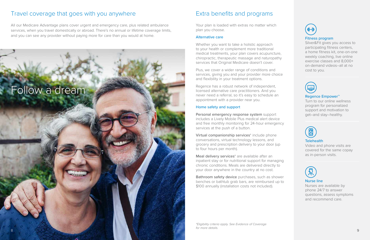## Extra benefits and programs

Your plan is loaded with extras no matter which plan you choose.

#### Alternative care

Whether you want to take a holistic approach to your health or complement more traditional medical treatments, your plan covers acupuncture, chiropractic, therapeutic massage and naturopathy services that Original Medicare doesn't cover.

Plus, we cover a wider range of conditions and services, giving you and your provider more choice and flexibility in your treatment options.

Virtual companionship services<sup>\*</sup> include phone conversations, virtual technology lessons, and grocery and prescription delivery to your door (up to four hours per month).

Regence has a robust network of independent, licensed alternative care practitioners. And you never need a referral, so it's easy to schedule an appointment with a provider near you.

Meal delivery services<sup>\*</sup> are available after an inpatient stay or for nutritional support for managing chronic conditions. Meals are delivered directly to your door anywhere in the country at no cost.

#### Home safety and support

Bathroom safety device purchases, such as shower benches or bathtub grab bars, are reimbursed up to \$100 annually (installation costs not included).

Personal emergency response system support includes a Lively Mobile Plus medical alert device and free monthly monitoring for 24-hour emergency services at the push of a button.

#### Fitness program

Silver&Fit gives you access to participating fitness centers, a home fitness kit, one-on-one weekly coaching, live online exercise classes and 8,000+ on-demand videos–all at no cost to you.



#### Regence Empower™

Turn to our online wellness program for personalized support and motivation to get–and stay–healthy.



#### **Telehealth**

Video and phone visits are covered for the same copay as in-person visits.



#### Nurse line

Nurses are available by phone 24/7 to answer questions, assess symptoms and recommend care.

\*Eligibility criteria apply. See Evidence of Coverage for more details.



All our Medicare Advantage plans cover urgent and emergency care, plus related ambulance services, when you travel domestically or abroad. There's no annual or lifetime coverage limits, and you can see any provider without paying more for care than you would at home.

## <span id="page-4-0"></span>Travel coverage that goes with you anywhere

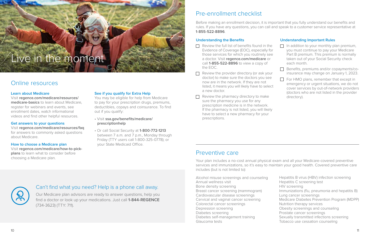#### **Learn about Medicare**

Visit **[regence.com/medicare/resources/](https://www.regence.com/medicare/resources/medicare-basics?ecid=r_med_zz_br_po_zz_aep_gyg_zz_2021) [medicare-basics](https://www.regence.com/medicare/resources/medicare-basics?ecid=r_med_zz_br_po_zz_aep_gyg_zz_2021)** to learn about Medicare, register for webinars and events, see enrollment dates, watch informational videos and find other helpful resources.

#### **Get answers to your questions**

Visit **[regence.com/medicare/resources/faq](https://www.regence.com/medicare/resources/faq?ecid=r_med_zz_br_po_zz_aep_gyg_zz_2021)** for answers to commonly asked questions about Medicare.

**How to choose a Medicare plan** Visit **[regence.com/medicare/how-to-pick](https://www.regence.com/medicare/how-to-pick-plans?ecid=r_med_zz_br_po_zz_aep_gyg_zz_2021)[plans](https://www.regence.com/medicare/how-to-pick-plans?ecid=r_med_zz_br_po_zz_aep_gyg_zz_2021)** to learn what to consider before choosing a Medicare plan.

#### **See if you qualify for Extra Help**

You may be eligible for help from Medicare to pay for your prescription drugs, premiums, deductibles, copays and coinsurance. To find out if you qualify:

- Visit **[ssa.gov/benefits/medicare/](http://ssa.gov/benefits/medicare/prescriptionhelp)  [prescriptionhelp](http://ssa.gov/benefits/medicare/prescriptionhelp)**
- Or call Social Security at **1-800-772-1213** between 7 a.m. and 7 p.m., Monday through Friday (TTY users call 1-800-325-0778); or your State Medicaid Office.

## Online resources

## Can't find what you need? Help is a phone call away.

Our Medicare plan advisors are ready to answer questions, help you find a doctor or look up your medications. Just call **1-844-REGENCE** (734-3623) (TTY: 711).

# <span id="page-5-0"></span>Live in the moment

## Preventive care

Your plan includes a no-cost annual physical exam and all your Medicare-covered preventive services and immunizations, so it's easy to maintain your good health. Covered preventive care includes (but is not limited to):

- $\Box$  Review the full list of benefits found in the Evidence of Coverage (EOC), especially for those services for which you routinely see a doctor. Visit **[regence.com/medicare](https://www.regence.com/medicare?ecid=r_med_zz_br_po_zz_aep_gyg_zz_2021)** or call **1-855-522-8896** to view a copy of the EOC.
- $\Box$  Review the provider directory (or ask your doctor) to make sure the doctors you see now are in the network. If they are not listed, it means you will likely have to select a new doctor.
- $\Box$  Review the pharmacy directory to make sure the pharmacy you use for any prescription medicine is in the network. If the pharmacy is not listed, you will likely have to select a new pharmacy for your prescriptions.

Alcohol misuse screenings and counseling Annual wellness visit Bone density screening Breast cancer screening (mammogram) Cardiovascular disease screenings Cervical and vaginal cancer screening Colorectal cancer screenings Depression screening Diabetes screening Diabetes self-management training Glaucoma tests



Hepatitis B virus (HBV) infection screening Hepatitis C screening test HIV screening Immunizations (flu, pneumonia and hepatitis B) Lung cancer screenings Medicare Diabetes Prevention Program (MDPP) Nutrition therapy services Obesity screenings and counseling Prostate cancer screenings Sexually transmitted infections screening Tobacco use cessation counseling

Before making an enrollment decision, it is important that you fully understand our benefits and rules. If you have any questions, you can call and speak to a customer service representative at **1-855-522-8896**.

### **Understanding the Benefits**

### **Understanding Important Rules**  $\Box$  In addition to your monthly plan premium, you must continue to pay your Medicare Part B premium. This premium is normally taken out of your Social Security check each month. Benefits, premiums and/or copayments/coinsurance may change on January 1, 2023.  $\Box$  For HMO plans, remember that except in emergency or urgent situations, we do not cover services by out-of-network providers (doctors who are not listed in the provider directory).

## Pre-enrollment checklist